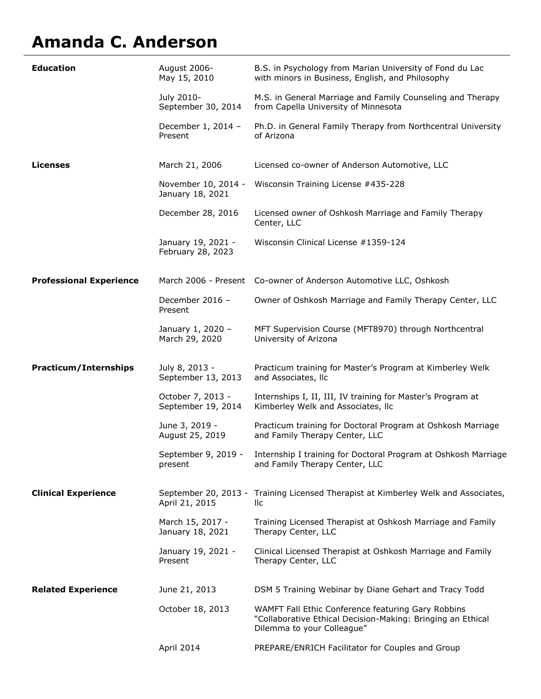## **Amanda C. Anderson**

| <b>Education</b>               | August 2006-<br>May 15, 2010            | B.S. in Psychology from Marian University of Fond du Lac<br>with minors in Business, English, and Philosophy                                    |
|--------------------------------|-----------------------------------------|-------------------------------------------------------------------------------------------------------------------------------------------------|
|                                | July 2010-<br>September 30, 2014        | M.S. in General Marriage and Family Counseling and Therapy<br>from Capella University of Minnesota                                              |
|                                | December 1, 2014 -<br>Present           | Ph.D. in General Family Therapy from Northcentral University<br>of Arizona                                                                      |
| Licenses                       | March 21, 2006                          | Licensed co-owner of Anderson Automotive, LLC                                                                                                   |
|                                | November 10, 2014 -<br>January 18, 2021 | Wisconsin Training License #435-228                                                                                                             |
|                                | December 28, 2016                       | Licensed owner of Oshkosh Marriage and Family Therapy<br>Center, LLC                                                                            |
|                                | January 19, 2021 -<br>February 28, 2023 | Wisconsin Clinical License #1359-124                                                                                                            |
| <b>Professional Experience</b> |                                         | March 2006 - Present Co-owner of Anderson Automotive LLC, Oshkosh                                                                               |
|                                | December 2016 -<br>Present              | Owner of Oshkosh Marriage and Family Therapy Center, LLC                                                                                        |
|                                | January 1, 2020 -<br>March 29, 2020     | MFT Supervision Course (MFT8970) through Northcentral<br>University of Arizona                                                                  |
| <b>Practicum/Internships</b>   | July 8, 2013 -<br>September 13, 2013    | Practicum training for Master's Program at Kimberley Welk<br>and Associates, Ilc                                                                |
|                                | October 7, 2013 -                       | Internships I, II, III, IV training for Master's Program at                                                                                     |
|                                | September 19, 2014                      | Kimberley Welk and Associates, Ilc                                                                                                              |
|                                | June 3, 2019 -<br>August 25, 2019       | Practicum training for Doctoral Program at Oshkosh Marriage<br>and Family Therapy Center, LLC                                                   |
|                                | present                                 | September 9, 2019 - Internship I training for Doctoral Program at Oshkosh Marriage<br>and Family Therapy Center, LLC                            |
| <b>Clinical Experience</b>     | April 21, 2015                          | September 20, 2013 - Training Licensed Therapist at Kimberley Welk and Associates,<br>llc                                                       |
|                                | March 15, 2017 -<br>January 18, 2021    | Training Licensed Therapist at Oshkosh Marriage and Family<br>Therapy Center, LLC                                                               |
|                                | January 19, 2021 -<br>Present           | Clinical Licensed Therapist at Oshkosh Marriage and Family<br>Therapy Center, LLC                                                               |
| <b>Related Experience</b>      | June 21, 2013                           | DSM 5 Training Webinar by Diane Gehart and Tracy Todd                                                                                           |
|                                | October 18, 2013                        | WAMFT Fall Ethic Conference featuring Gary Robbins<br>"Collaborative Ethical Decision-Making: Bringing an Ethical<br>Dilemma to your Colleague" |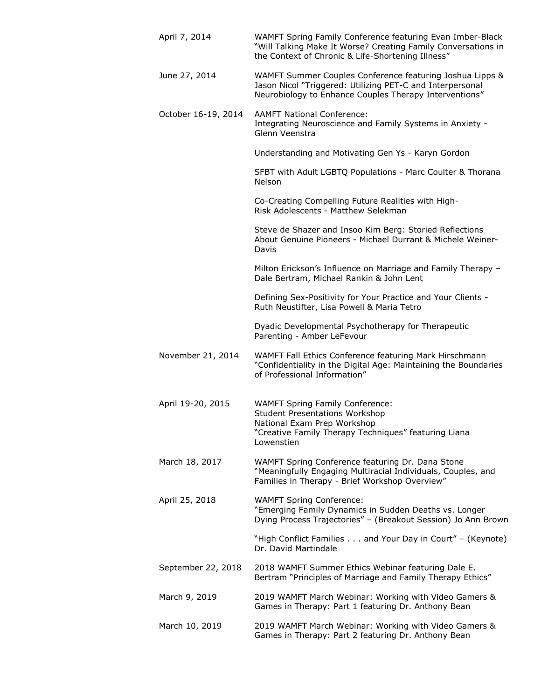| April 7, 2014       | WAMFT Spring Family Conference featuring Evan Imber-Black<br>"Will Talking Make It Worse? Creating Family Conversations in<br>the Context of Chronic & Life-Shortening Illness"      |
|---------------------|--------------------------------------------------------------------------------------------------------------------------------------------------------------------------------------|
| June 27, 2014       | WAMFT Summer Couples Conference featuring Joshua Lipps &<br>Jason Nicol "Triggered: Utilizing PET-C and Interpersonal<br>Neurobiology to Enhance Couples Therapy Interventions"      |
| October 16-19, 2014 | <b>AAMFT National Conference:</b><br>Integrating Neuroscience and Family Systems in Anxiety -<br>Glenn Veenstra                                                                      |
|                     | Understanding and Motivating Gen Ys - Karyn Gordon                                                                                                                                   |
|                     | SFBT with Adult LGBTQ Populations - Marc Coulter & Thorana<br><b>Nelson</b>                                                                                                          |
|                     | Co-Creating Compelling Future Realities with High-<br>Risk Adolescents - Matthew Selekman                                                                                            |
|                     | Steve de Shazer and Insoo Kim Berg: Storied Reflections<br>About Genuine Pioneers - Michael Durrant & Michele Weiner-<br>Davis                                                       |
|                     | Milton Erickson's Influence on Marriage and Family Therapy -<br>Dale Bertram, Michael Rankin & John Lent                                                                             |
|                     | Defining Sex-Positivity for Your Practice and Your Clients -<br>Ruth Neustifter, Lisa Powell & Maria Tetro                                                                           |
|                     | Dyadic Developmental Psychotherapy for Therapeutic<br>Parenting - Amber LeFevour                                                                                                     |
| November 21, 2014   | WAMFT Fall Ethics Conference featuring Mark Hirschmann<br>"Confidentiality in the Digital Age: Maintaining the Boundaries<br>of Professional Information"                            |
| April 19-20, 2015   | <b>WAMFT Spring Family Conference:</b><br><b>Student Presentations Workshop</b><br>National Exam Prep Workshop<br>"Creative Family Therapy Techniques" featuring Liana<br>Lowenstien |
| March 18, 2017      | WAMFT Spring Conference featuring Dr. Dana Stone<br>"Meaningfully Engaging Multiracial Individuals, Couples, and<br>Families in Therapy - Brief Workshop Overview"                   |
| April 25, 2018      | <b>WAMFT Spring Conference:</b><br>"Emerging Family Dynamics in Sudden Deaths vs. Longer<br>Dying Process Trajectories" - (Breakout Session) Jo Ann Brown                            |
|                     | "High Conflict Families and Your Day in Court" - (Keynote)<br>Dr. David Martindale                                                                                                   |
| September 22, 2018  | 2018 WAMFT Summer Ethics Webinar featuring Dale E.<br>Bertram "Principles of Marriage and Family Therapy Ethics"                                                                     |
| March 9, 2019       | 2019 WAMFT March Webinar: Working with Video Gamers &<br>Games in Therapy: Part 1 featuring Dr. Anthony Bean                                                                         |
| March 10, 2019      | 2019 WAMFT March Webinar: Working with Video Gamers &<br>Games in Therapy: Part 2 featuring Dr. Anthony Bean                                                                         |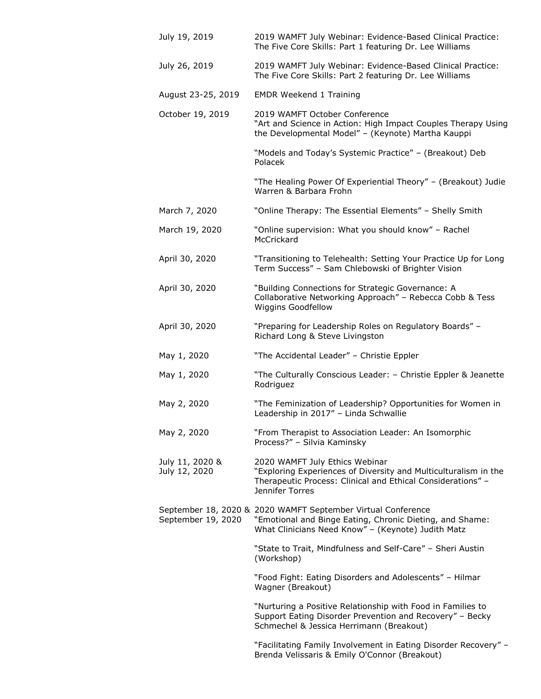| July 19, 2019                    | 2019 WAMFT July Webinar: Evidence-Based Clinical Practice:<br>The Five Core Skills: Part 1 featuring Dr. Lee Williams                                                               |
|----------------------------------|-------------------------------------------------------------------------------------------------------------------------------------------------------------------------------------|
| July 26, 2019                    | 2019 WAMFT July Webinar: Evidence-Based Clinical Practice:<br>The Five Core Skills: Part 2 featuring Dr. Lee Williams                                                               |
| August 23-25, 2019               | <b>EMDR Weekend 1 Training</b>                                                                                                                                                      |
| October 19, 2019                 | 2019 WAMFT October Conference<br>"Art and Science in Action: High Impact Couples Therapy Using<br>the Developmental Model" - (Keynote) Martha Kauppi                                |
|                                  | "Models and Today's Systemic Practice" - (Breakout) Deb<br>Polacek                                                                                                                  |
|                                  | "The Healing Power Of Experiential Theory" - (Breakout) Judie<br>Warren & Barbara Frohn                                                                                             |
| March 7, 2020                    | "Online Therapy: The Essential Elements" - Shelly Smith                                                                                                                             |
| March 19, 2020                   | "Online supervision: What you should know" - Rachel<br>McCrickard                                                                                                                   |
| April 30, 2020                   | "Transitioning to Telehealth: Setting Your Practice Up for Long<br>Term Success" - Sam Chlebowski of Brighter Vision                                                                |
| April 30, 2020                   | "Building Connections for Strategic Governance: A<br>Collaborative Networking Approach" - Rebecca Cobb & Tess<br>Wiggins Goodfellow                                                 |
| April 30, 2020                   | "Preparing for Leadership Roles on Regulatory Boards" -<br>Richard Long & Steve Livingston                                                                                          |
| May 1, 2020                      | "The Accidental Leader" - Christie Eppler                                                                                                                                           |
| May 1, 2020                      | "The Culturally Conscious Leader: - Christie Eppler & Jeanette<br>Rodriguez                                                                                                         |
| May 2, 2020                      | "The Feminization of Leadership? Opportunities for Women in<br>Leadership in 2017" - Linda Schwallie                                                                                |
| May 2, 2020                      | "From Therapist to Association Leader: An Isomorphic<br>Process?" - Silvia Kaminsky                                                                                                 |
| July 11, 2020 &<br>July 12, 2020 | 2020 WAMFT July Ethics Webinar<br>"Exploring Experiences of Diversity and Multiculturalism in the<br>Therapeutic Process: Clinical and Ethical Considerations" -<br>Jennifer Torres |
| September 19, 2020               | September 18, 2020 & 2020 WAMFT September Virtual Conference<br>"Emotional and Binge Eating, Chronic Dieting, and Shame:<br>What Clinicians Need Know" - (Keynote) Judith Matz      |
|                                  | "State to Trait, Mindfulness and Self-Care" - Sheri Austin<br>(Workshop)                                                                                                            |
|                                  | "Food Fight: Eating Disorders and Adolescents" - Hilmar<br>Wagner (Breakout)                                                                                                        |
|                                  | "Nurturing a Positive Relationship with Food in Families to<br>Support Eating Disorder Prevention and Recovery" - Becky<br>Schmechel & Jessica Herrimann (Breakout)                 |
|                                  | "Facilitating Family Involvement in Eating Disorder Recovery" -<br>Brenda Velissaris & Emily O'Connor (Breakout)                                                                    |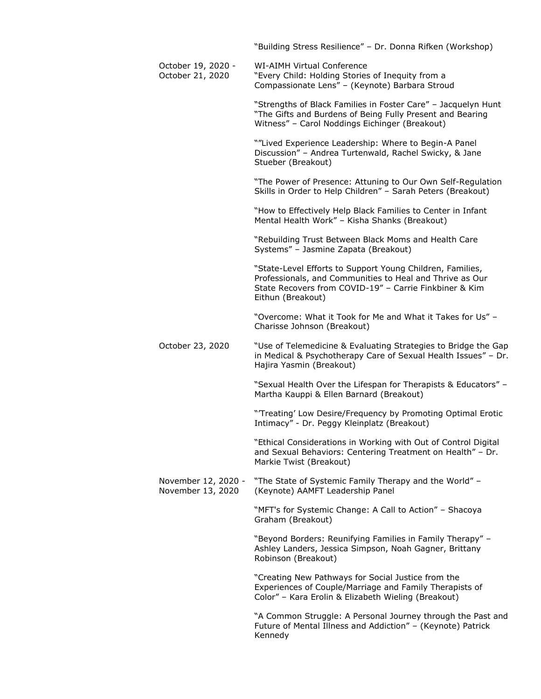|                                          | "Building Stress Resilience" - Dr. Donna Rifken (Workshop)                                                                                                                                           |
|------------------------------------------|------------------------------------------------------------------------------------------------------------------------------------------------------------------------------------------------------|
| October 19, 2020 -<br>October 21, 2020   | <b>WI-AIMH Virtual Conference</b><br>"Every Child: Holding Stories of Inequity from a<br>Compassionate Lens" - (Keynote) Barbara Stroud                                                              |
|                                          | "Strengths of Black Families in Foster Care" - Jacquelyn Hunt<br>"The Gifts and Burdens of Being Fully Present and Bearing<br>Witness" - Carol Noddings Eichinger (Breakout)                         |
|                                          | ""Lived Experience Leadership: Where to Begin-A Panel<br>Discussion" - Andrea Turtenwald, Rachel Swicky, & Jane<br>Stueber (Breakout)                                                                |
|                                          | "The Power of Presence: Attuning to Our Own Self-Regulation<br>Skills in Order to Help Children" - Sarah Peters (Breakout)                                                                           |
|                                          | "How to Effectively Help Black Families to Center in Infant<br>Mental Health Work" - Kisha Shanks (Breakout)                                                                                         |
|                                          | "Rebuilding Trust Between Black Moms and Health Care<br>Systems" - Jasmine Zapata (Breakout)                                                                                                         |
|                                          | "State-Level Efforts to Support Young Children, Families,<br>Professionals, and Communities to Heal and Thrive as Our<br>State Recovers from COVID-19" - Carrie Finkbiner & Kim<br>Eithun (Breakout) |
|                                          | "Overcome: What it Took for Me and What it Takes for Us" -<br>Charisse Johnson (Breakout)                                                                                                            |
| October 23, 2020                         | "Use of Telemedicine & Evaluating Strategies to Bridge the Gap<br>in Medical & Psychotherapy Care of Sexual Health Issues" - Dr.<br>Hajira Yasmin (Breakout)                                         |
|                                          | "Sexual Health Over the Lifespan for Therapists & Educators" -<br>Martha Kauppi & Ellen Barnard (Breakout)                                                                                           |
|                                          | "Treating' Low Desire/Frequency by Promoting Optimal Erotic<br>Intimacy" - Dr. Peggy Kleinplatz (Breakout)                                                                                           |
|                                          | "Ethical Considerations in Working with Out of Control Digital<br>and Sexual Behaviors: Centering Treatment on Health" - Dr.<br>Markie Twist (Breakout)                                              |
| November 12, 2020 -<br>November 13, 2020 | "The State of Systemic Family Therapy and the World" -<br>(Keynote) AAMFT Leadership Panel                                                                                                           |
|                                          | "MFT's for Systemic Change: A Call to Action" - Shacoya<br>Graham (Breakout)                                                                                                                         |
|                                          | "Beyond Borders: Reunifying Families in Family Therapy" -<br>Ashley Landers, Jessica Simpson, Noah Gagner, Brittany<br>Robinson (Breakout)                                                           |
|                                          | "Creating New Pathways for Social Justice from the<br>Experiences of Couple/Marriage and Family Therapists of<br>Color" - Kara Erolin & Elizabeth Wieling (Breakout)                                 |
|                                          | "A Common Struggle: A Personal Journey through the Past and<br>Future of Mental Illness and Addiction" - (Keynote) Patrick<br>Kennedy                                                                |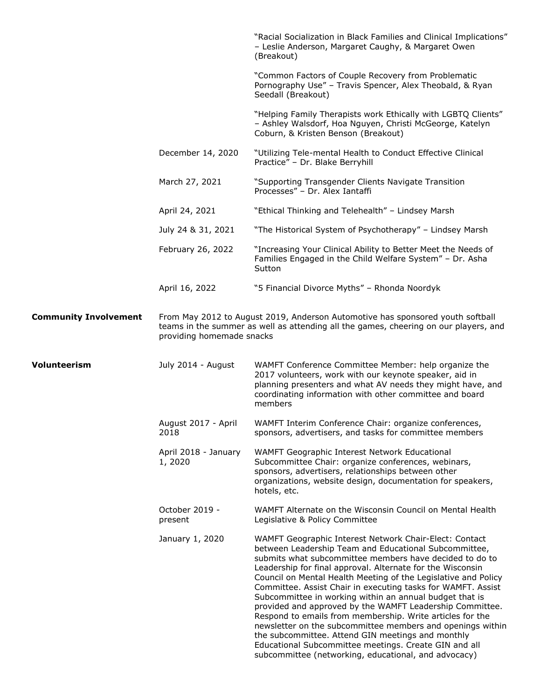|                              |                                 | "Racial Socialization in Black Families and Clinical Implications"<br>- Leslie Anderson, Margaret Caughy, & Margaret Owen<br>(Breakout)                                                                                                                                                                                                                                                                                                                                                                                                                                                                                                                                                                                                                                                            |
|------------------------------|---------------------------------|----------------------------------------------------------------------------------------------------------------------------------------------------------------------------------------------------------------------------------------------------------------------------------------------------------------------------------------------------------------------------------------------------------------------------------------------------------------------------------------------------------------------------------------------------------------------------------------------------------------------------------------------------------------------------------------------------------------------------------------------------------------------------------------------------|
|                              |                                 | "Common Factors of Couple Recovery from Problematic<br>Pornography Use" - Travis Spencer, Alex Theobald, & Ryan<br>Seedall (Breakout)                                                                                                                                                                                                                                                                                                                                                                                                                                                                                                                                                                                                                                                              |
|                              |                                 | "Helping Family Therapists work Ethically with LGBTQ Clients"<br>- Ashley Walsdorf, Hoa Nguyen, Christi McGeorge, Katelyn<br>Coburn, & Kristen Benson (Breakout)                                                                                                                                                                                                                                                                                                                                                                                                                                                                                                                                                                                                                                   |
|                              | December 14, 2020               | "Utilizing Tele-mental Health to Conduct Effective Clinical<br>Practice" - Dr. Blake Berryhill                                                                                                                                                                                                                                                                                                                                                                                                                                                                                                                                                                                                                                                                                                     |
|                              | March 27, 2021                  | "Supporting Transgender Clients Navigate Transition<br>Processes" - Dr. Alex Iantaffi                                                                                                                                                                                                                                                                                                                                                                                                                                                                                                                                                                                                                                                                                                              |
|                              | April 24, 2021                  | "Ethical Thinking and Telehealth" - Lindsey Marsh                                                                                                                                                                                                                                                                                                                                                                                                                                                                                                                                                                                                                                                                                                                                                  |
|                              | July 24 & 31, 2021              | "The Historical System of Psychotherapy" - Lindsey Marsh                                                                                                                                                                                                                                                                                                                                                                                                                                                                                                                                                                                                                                                                                                                                           |
|                              | February 26, 2022               | "Increasing Your Clinical Ability to Better Meet the Needs of<br>Families Engaged in the Child Welfare System" - Dr. Asha<br>Sutton                                                                                                                                                                                                                                                                                                                                                                                                                                                                                                                                                                                                                                                                |
|                              | April 16, 2022                  | "5 Financial Divorce Myths" - Rhonda Noordyk                                                                                                                                                                                                                                                                                                                                                                                                                                                                                                                                                                                                                                                                                                                                                       |
| <b>Community Involvement</b> | providing homemade snacks       | From May 2012 to August 2019, Anderson Automotive has sponsored youth softball<br>teams in the summer as well as attending all the games, cheering on our players, and                                                                                                                                                                                                                                                                                                                                                                                                                                                                                                                                                                                                                             |
| Volunteerism                 | July 2014 - August              | WAMFT Conference Committee Member: help organize the<br>2017 volunteers, work with our keynote speaker, aid in<br>planning presenters and what AV needs they might have, and<br>coordinating information with other committee and board<br>members                                                                                                                                                                                                                                                                                                                                                                                                                                                                                                                                                 |
|                              | August 2017 - April<br>2018     | WAMFT Interim Conference Chair: organize conferences,<br>sponsors, advertisers, and tasks for committee members                                                                                                                                                                                                                                                                                                                                                                                                                                                                                                                                                                                                                                                                                    |
|                              | April 2018 - January<br>1, 2020 | WAMFT Geographic Interest Network Educational<br>Subcommittee Chair: organize conferences, webinars,<br>sponsors, advertisers, relationships between other<br>organizations, website design, documentation for speakers,<br>hotels, etc.                                                                                                                                                                                                                                                                                                                                                                                                                                                                                                                                                           |
|                              | October 2019 -<br>present       | WAMFT Alternate on the Wisconsin Council on Mental Health<br>Legislative & Policy Committee                                                                                                                                                                                                                                                                                                                                                                                                                                                                                                                                                                                                                                                                                                        |
|                              | January 1, 2020                 | WAMFT Geographic Interest Network Chair-Elect: Contact<br>between Leadership Team and Educational Subcommittee,<br>submits what subcommittee members have decided to do to<br>Leadership for final approval. Alternate for the Wisconsin<br>Council on Mental Health Meeting of the Legislative and Policy<br>Committee. Assist Chair in executing tasks for WAMFT. Assist<br>Subcommittee in working within an annual budget that is<br>provided and approved by the WAMFT Leadership Committee.<br>Respond to emails from membership. Write articles for the<br>newsletter on the subcommittee members and openings within<br>the subcommittee. Attend GIN meetings and monthly<br>Educational Subcommittee meetings. Create GIN and all<br>subcommittee (networking, educational, and advocacy) |